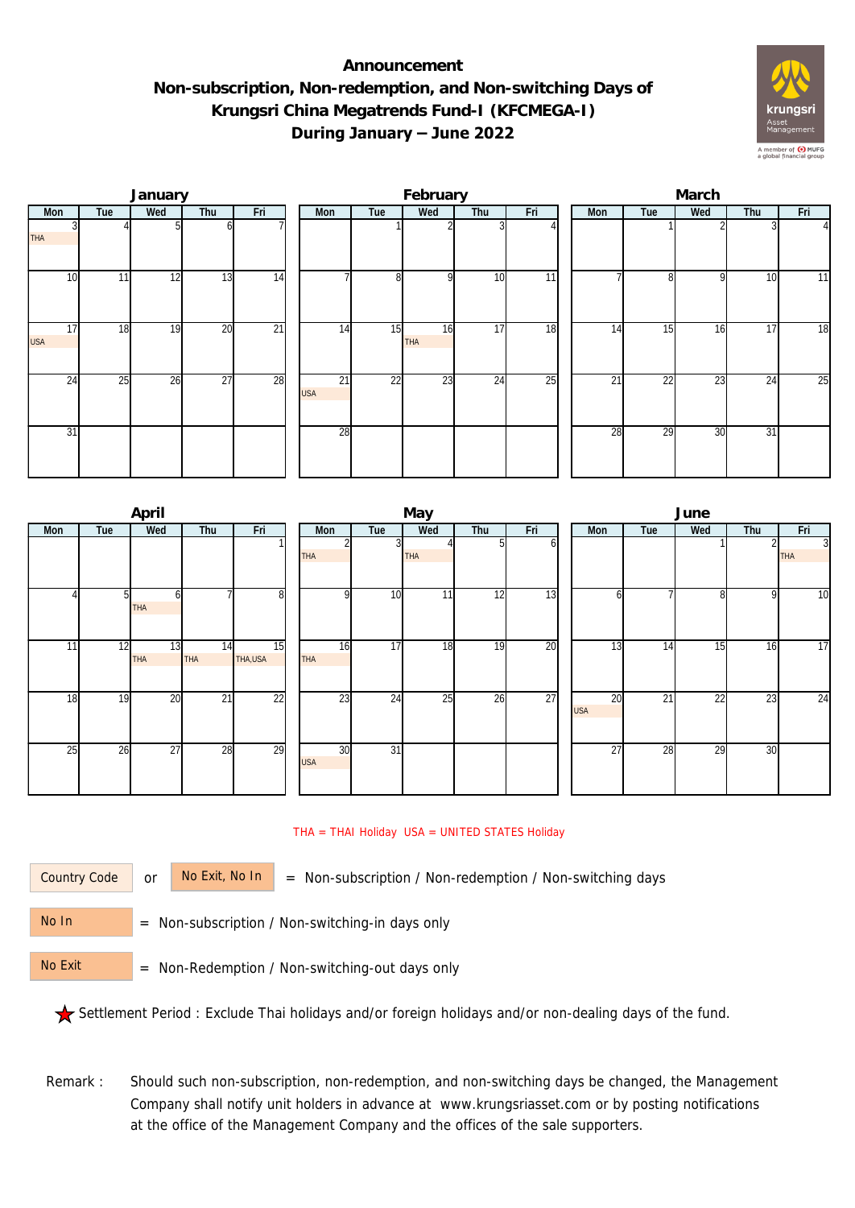## **Announcement Non-subscription, Non-redemption, and Non-switching Days of Krungsri China Megatrends Fund-I (KFCMEGA-I) During January – June 2022**



|                  |     | January |                 |                 |  |                               | February       |                  |     | March           |                 |                 |     |     |                |  |
|------------------|-----|---------|-----------------|-----------------|--|-------------------------------|----------------|------------------|-----|-----------------|-----------------|-----------------|-----|-----|----------------|--|
| Mon              | Tue | Wed     | Thu             | Fri             |  | Mon                           | Tue            | Wed              | Thu | Fri             | Mon             | Tue             | Wed | Thu | Fri            |  |
| <b>THA</b>       |     |         |                 |                 |  |                               |                |                  |     |                 |                 |                 |     |     | $\overline{4}$ |  |
| 10 <sup>1</sup>  | 11  | 12      | $1\overline{3}$ | 14              |  |                               | 8 <sup>1</sup> | $\Omega$         | 10  | 11              |                 | 8               | 9   | 10  | 11             |  |
| 17<br><b>USA</b> | 18  | 19      | $\overline{20}$ | $\overline{21}$ |  | 14                            | 15             | 16<br><b>THA</b> | 17  | 18              | 14              | 15              | 16  | 17  | 18             |  |
| 24               | 25  | 26      | $\overline{27}$ | 28              |  | $\overline{21}$<br><b>USA</b> | 22             | 23               | 24  | $\overline{25}$ | $\overline{21}$ | $\overline{22}$ | 23  | 24  | 25             |  |
| 31               |     |         |                 |                 |  | 28                            |                |                  |     |                 | 28              | 29              | 30  | 31  |                |  |

|     |                | April            |                  |                 |                  |                 | May        |     |     | June |                               |                 |                 |     |                              |  |
|-----|----------------|------------------|------------------|-----------------|------------------|-----------------|------------|-----|-----|------|-------------------------------|-----------------|-----------------|-----|------------------------------|--|
| Mon | Tue            | Wed              | Thu              | Fri             | Mon              | Tue             | Wed        | Thu | Fri |      | <b>Mon</b>                    | Tue             | Wed             | Thu | Fri                          |  |
|     |                |                  |                  |                 | <b>THA</b>       |                 | <b>THA</b> |     | ωI  |      |                               |                 |                 |     | $\overline{3}$<br><b>THA</b> |  |
|     | 5 <sub>l</sub> | h<br>THA         |                  | 8               | <sup>Q</sup>     | 10 <sup>1</sup> | 11         | 12  | 13  |      | <sub>0</sub>                  |                 | 8               | 9   | 10                           |  |
| 11  | 12             | 13<br><b>THA</b> | 14<br><b>THA</b> | 15<br>THA, USA  | 16<br><b>THA</b> | 17              | 18         | 19  | 20  |      | 13                            | 14              | 15              | 16  | 17                           |  |
| 18  | 19             | 20               | $\overline{21}$  | $\overline{22}$ | 23               | 24              | 25         | 26  | 27  |      | $\overline{20}$<br><b>USA</b> | $\overline{21}$ | $\overline{22}$ | 23  | 24                           |  |
| 25  | 26             | $\overline{27}$  | 28               | 29              | 30<br><b>USA</b> | $\overline{31}$ |            |     |     |      | 27                            | 28              | 29              | 30  |                              |  |

## THA = THAI Holiday USA = UNITED STATES Holiday

Country Code

or  $\overline{\phantom{a}}$  No Exit, No In  $\overline{\phantom{a}}$  = Non-subscription / Non-redemption / Non-switching days

 = Non-subscription / Non-switching-in days only No In

 = Non-Redemption / Non-switching-out days only No Exit

Settlement Period : Exclude Thai holidays and/or foreign holidays and/or non-dealing days of the fund.

Remark : Should such non-subscription, non-redemption, and non-switching days be changed, the Management Company shall notify unit holders in advance at www.krungsriasset.com or by posting notifications at the office of the Management Company and the offices of the sale supporters.